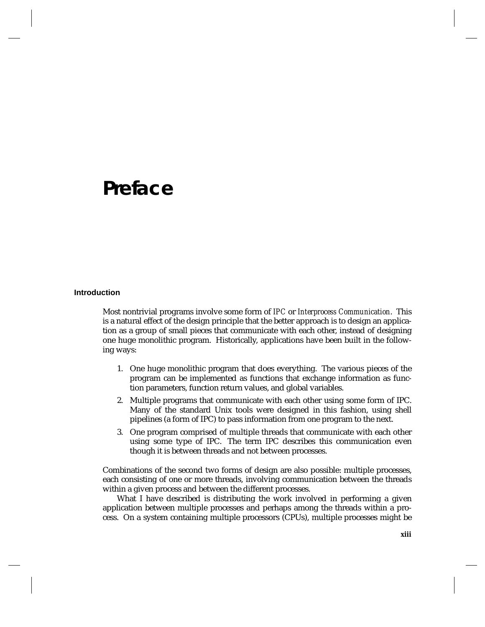# *Preface*

# **Introduction**

Most nontrivial programs involve some form of *IPC* or *Interprocess Communication*. This is a natural effect of the design principle that the better approach is to design an application as a group of small pieces that communicate with each other, instead of designing one huge monolithic program. Historically, applications have been built in the following ways:

- 1. One huge monolithic program that does everything. The various pieces of the program can be implemented as functions that exchange information as function parameters, function return values, and global variables.
- 2. Multiple programs that communicate with each other using some form of IPC. Many of the standard Unix tools were designed in this fashion, using shell pipelines (a form of IPC) to pass information from one program to the next.
- 3. One program comprised of multiple threads that communicate with each other using some type of IPC. The term IPC describes this communication even though it is between threads and not between processes.

Combinations of the second two forms of design are also possible: multiple processes, each consisting of one or more threads, involving communication between the threads within a given process and between the different processes.

What I have described is distributing the work involved in performing a given application between multiple processes and perhaps among the threads within a process. On a system containing multiple processors (CPUs), multiple processes might be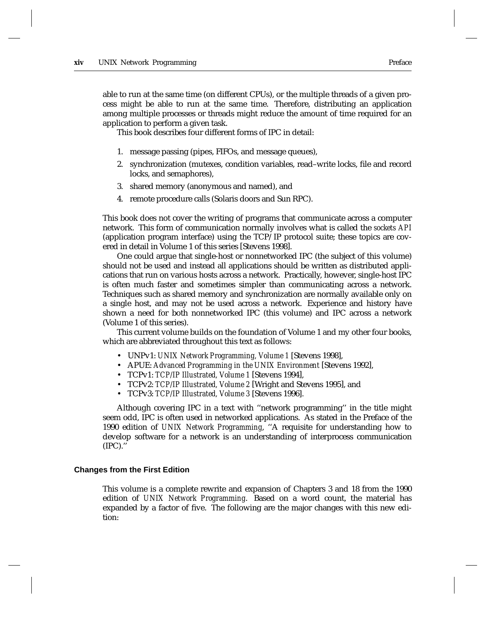able to run at the same time (on different CPUs), or the multiple threads of a given process might be able to run at the same time. Therefore, distributing an application among multiple processes or threads might reduce the amount of time required for an application to perform a given task.

This book describes four different forms of IPC in detail:

- 1. message passing (pipes, FIFOs, and message queues),
- 2. synchronization (mutexes, condition variables, read–write locks, file and record locks, and semaphores),
- 3. shared memory (anonymous and named), and
- 4. remote procedure calls (Solaris doors and Sun RPC).

This book does not cover the writing of programs that communicate across a computer network. This form of communication normally involves what is called the *sockets API* (application program interface) using the TCP/IP protocol suite; these topics are covered in detail in Volume 1 of this series [Stevens 1998].

One could argue that single-host or nonnetworked IPC (the subject of this volume) should not be used and instead all applications should be written as distributed applications that run on various hosts across a network. Practically, however, single-host IPC is often much faster and sometimes simpler than communicating across a network. Techniques such as shared memory and synchronization are normally available only on a single host, and may not be used across a network. Experience and history have shown a need for both nonnetworked IPC (this volume) and IPC across a network (Volume 1 of this series).

This current volume builds on the foundation of Volume 1 and my other four books, which are abbreviated throughout this text as follows:

- UNPv1: *UNIX Network Programming, Volume 1* [Stevens 1998],
- APUE: *Advanced Programming in the UNIX Environment* [Stevens 1992],
- TCPv1: *TCP/IP Illustrated, Volume 1* [Stevens 1994],
- TCPv2: *TCP/IP Illustrated, Volume 2* [Wright and Stevens 1995], and
- TCPv3: *TCP/IP Illustrated, Volume 3* [Stevens 1996].

Although covering IPC in a text with ''network programming'' in the title might seem odd, IPC is often used in networked applications. As stated in the Preface of the 1990 edition of *UNIX Network Programming*, ''A requisite for understanding how to develop software for a network is an understanding of interprocess communication (IPC).''

## **Chang es from the First Edition**

This volume is a complete rewrite and expansion of Chapters 3 and 18 from the 1990 edition of *UNIX Network Programming*. Based on a word count, the material has expanded by a factor of five. The following are the major changes with this new edition: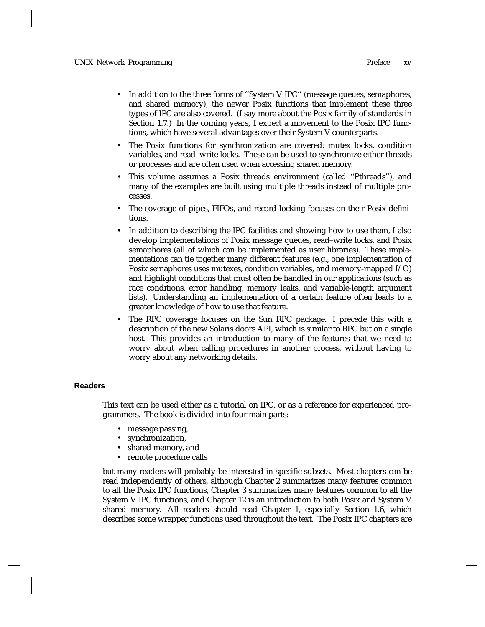- In addition to the three forms of ''System V IPC'' (message queues, semaphores, and shared memory), the newer Posix functions that implement these three types of IPC are also covered. (I say more about the Posix family of standards in Section 1.7.) In the coming years, I expect a movement to the Posix IPC functions, which have several advantages over their System V counterparts.
- The Posix functions for synchronization are covered: mutex locks, condition variables, and read–write locks. These can be used to synchronize either threads or processes and are often used when accessing shared memory.
- This volume assumes a Posix threads environment (called ''Pthreads''), and many of the examples are built using multiple threads instead of multiple processes.
- The coverage of pipes, FIFOs, and record locking focuses on their Posix definitions.
- In addition to describing the IPC facilities and showing how to use them, I also develop implementations of Posix message queues, read–write locks, and Posix semaphores (all of which can be implemented as user libraries). These implementations can tie together many different features (e.g., one implementation of Posix semaphores uses mutexes, condition variables, and memory-mapped I/O) and highlight conditions that must often be handled in our applications (such as race conditions, error handling, memory leaks, and variable-length argument lists). Understanding an implementation of a certain feature often leads to a greater knowledge of how to use that feature.
- The RPC coverage focuses on the Sun RPC package. I precede this with a description of the new Solaris doors API, which is similar to RPC but on a single host. This provides an introduction to many of the features that we need to worry about when calling procedures in another process, without having to worry about any networking details.

#### **Readers**

This text can be used either as a tutorial on IPC, or as a reference for experienced programmers. The book is divided into four main parts:

- message passing,
- synchronization,
- shared memory, and
- remote procedure calls

but many readers will probably be interested in specific subsets. Most chapters can be read independently of others, although Chapter 2 summarizes many features common to all the Posix IPC functions, Chapter 3 summarizes many features common to all the System V IPC functions, and Chapter 12 is an introduction to both Posix and System V shared memory. All readers should read Chapter 1, especially Section 1.6, which describes some wrapper functions used throughout the text. The Posix IPC chapters are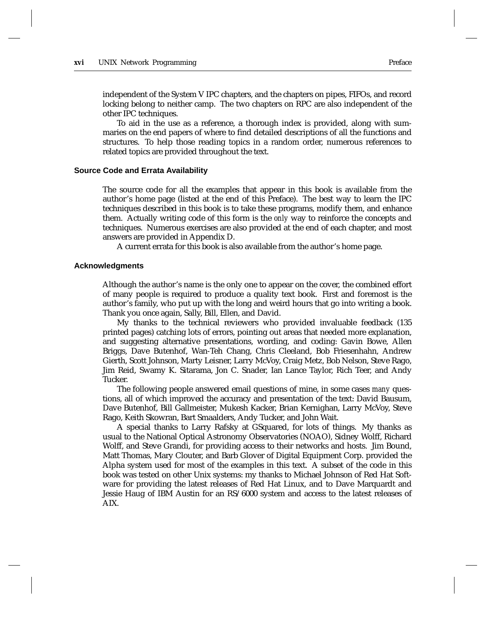independent of the System V IPC chapters, and the chapters on pipes, FIFOs, and record locking belong to neither camp. The two chapters on RPC are also independent of the other IPC techniques.

To aid in the use as a reference, a thorough index is provided, along with summaries on the end papers of where to find detailed descriptions of all the functions and structures. To help those reading topics in a random order, numerous references to related topics are provided throughout the text.

## **Source Code and Errata Availability**

The source code for all the examples that appear in this book is available from the author 's home page (listed at the end of this Preface). The best way to learn the IPC techniques described in this book is to take these programs, modify them, and enhance them. Actually writing code of this form is the *only* way to reinforce the concepts and techniques. Numerous exercises are also provided at the end of each chapter, and most answers are provided in Appendix D.

A current errata for this book is also available from the author's home page.

## **Acknowledgments**

Although the author's name is the only one to appear on the cover, the combined effort of many people is required to produce a quality text book. First and foremost is the author 's family, who put up with the long and weird hours that go into writing a book. Thank you once again, Sally, Bill, Ellen, and David.

My thanks to the technical reviewers who provided invaluable feedback (135 printed pages) catching lots of errors, pointing out areas that needed more explanation, and suggesting alternative presentations, wording, and coding: Gavin Bowe, Allen Briggs, Dave Butenhof, Wan-Teh Chang, Chris Cleeland, Bob Friesenhahn, Andrew Gierth, Scott Johnson, Marty Leisner, Larry McVoy, Craig Metz, Bob Nelson, Steve Rago, Jim Reid, Swamy K. Sitarama, Jon C. Snader, Ian Lance Taylor, Rich Teer, and Andy Tucker.

The following people answered email questions of mine, in some cases *many* questions, all of which improved the accuracy and presentation of the text: David Bausum, Dave Butenhof, Bill Gallmeister, Mukesh Kacker, Brian Kernighan, Larry McVoy, Steve Rago, Keith Skowran, Bart Smaalders, Andy Tucker, and John Wait.

A special thanks to Larry Rafsky at GSquared, for lots of things. My thanks as usual to the National Optical Astronomy Observatories (NOAO), Sidney Wolff, Richard Wolff, and Steve Grandi, for providing access to their networks and hosts. Jim Bound, Matt Thomas, Mary Clouter, and Barb Glover of Digital Equipment Corp. provided the Alpha system used for most of the examples in this text. A subset of the code in this book was tested on other Unix systems: my thanks to Michael Johnson of Red Hat Software for providing the latest releases of Red Hat Linux, and to Dave Marquardt and Jessie Haug of IBM Austin for an RS/6000 system and access to the latest releases of AIX.